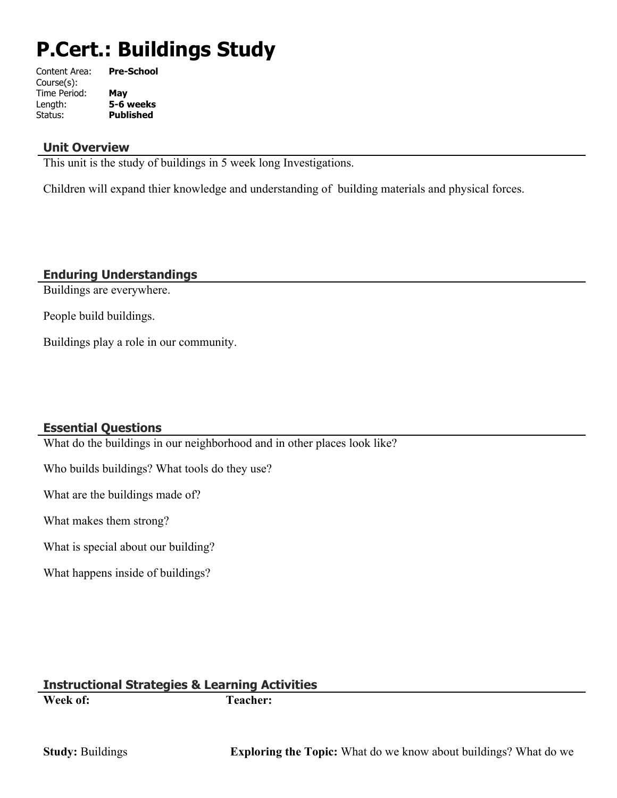# **P.Cert.: Buildings Study**

| Content Area: | <b>Pre-School</b> |
|---------------|-------------------|
| Course(s):    |                   |
| Time Period:  | Mav               |
| Length:       | 5-6 weeks         |
| Status:       | <b>Published</b>  |
|               |                   |

#### **Unit Overview**

This unit is the study of buildings in 5 week long Investigations.

Children will expand thier knowledge and understanding of building materials and physical forces.

#### **Enduring Understandings**

Buildings are everywhere.

People build buildings.

Buildings play a role in our community.

#### **Essential Questions**

What do the buildings in our neighborhood and in other places look like?

Who builds buildings? What tools do they use?

What are the buildings made of?

What makes them strong?

What is special about our building?

What happens inside of buildings?

#### **Instructional Strategies & Learning Activities Week of: Teacher:**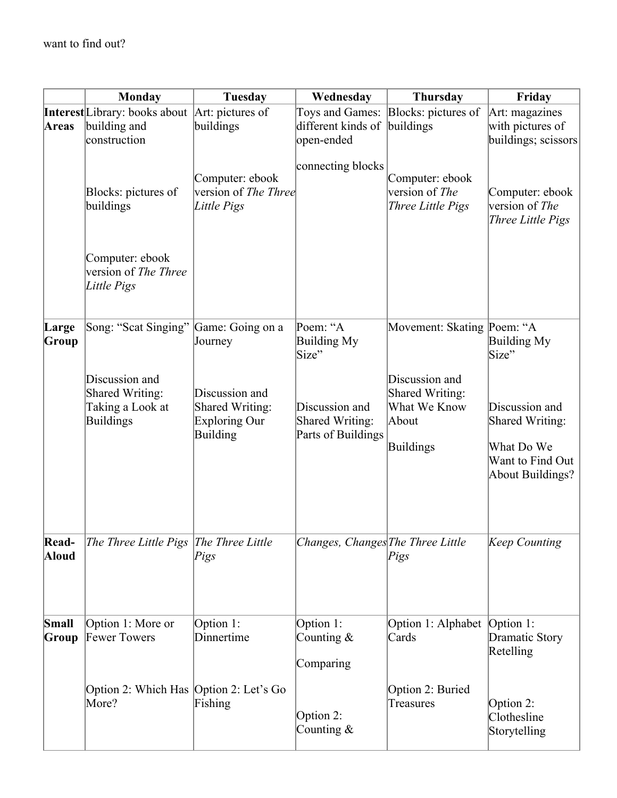|                | <b>Monday</b>                                                             | Tuesday                                                               | Wednesday                                               | Thursday                                                                | Friday                                                                                  |
|----------------|---------------------------------------------------------------------------|-----------------------------------------------------------------------|---------------------------------------------------------|-------------------------------------------------------------------------|-----------------------------------------------------------------------------------------|
| <b>Areas</b>   | <b>Interest</b> Library: books about<br>building and<br>construction      | Art: pictures of<br>buildings                                         | different kinds of<br>open-ended                        | Toys and Games: Blocks: pictures of<br>buildings                        | Art: magazines<br>with pictures of<br>buildings; scissors                               |
|                | Blocks: pictures of<br>buildings                                          | Computer: ebook<br>version of The Three<br>Little Pigs                | connecting blocks                                       | Computer: ebook<br>version of The<br>Three Little Pigs                  | Computer: ebook<br>version of The<br>Three Little Pigs                                  |
|                | Computer: ebook<br>version of The Three<br>Little Pigs                    |                                                                       |                                                         |                                                                         |                                                                                         |
| Large<br>Group | Song: "Scat Singing" Game: Going on a                                     | Journey                                                               | Poem: "A<br>Building My<br>Size"                        | Movement: Skating Poem: "A                                              | Building My<br>Size"                                                                    |
|                | Discussion and<br><b>Shared Writing:</b><br>Taking a Look at<br>Buildings | Discussion and<br>Shared Writing:<br>Exploring Our<br><b>Building</b> | Discussion and<br>Shared Writing:<br>Parts of Buildings | Discussion and<br>Shared Writing:<br>What We Know<br>About<br>Buildings | Discussion and<br>Shared Writing:<br>What Do We<br>Want to Find Out<br>About Buildings? |
| Read-<br>Aloud | The Three Little Pigs The Three Little                                    | Pigs                                                                  | Changes, Changes The Three Little                       | Pigs                                                                    | Keep Counting                                                                           |
| Small<br>Group | Option 1: More or<br><b>Fewer Towers</b>                                  | Option 1:<br>Dinnertime                                               | Option 1:<br>Counting $\&$<br>Comparing                 | Option 1: Alphabet   Option 1:<br>Cards                                 | Dramatic Story<br>Retelling                                                             |
|                | Option 2: Which Has Option 2: Let's Go<br>More?                           | Fishing                                                               | Option 2:<br>Counting $\&$                              | Option 2: Buried<br>Treasures                                           | Option 2:<br>Clothesline<br>Storytelling                                                |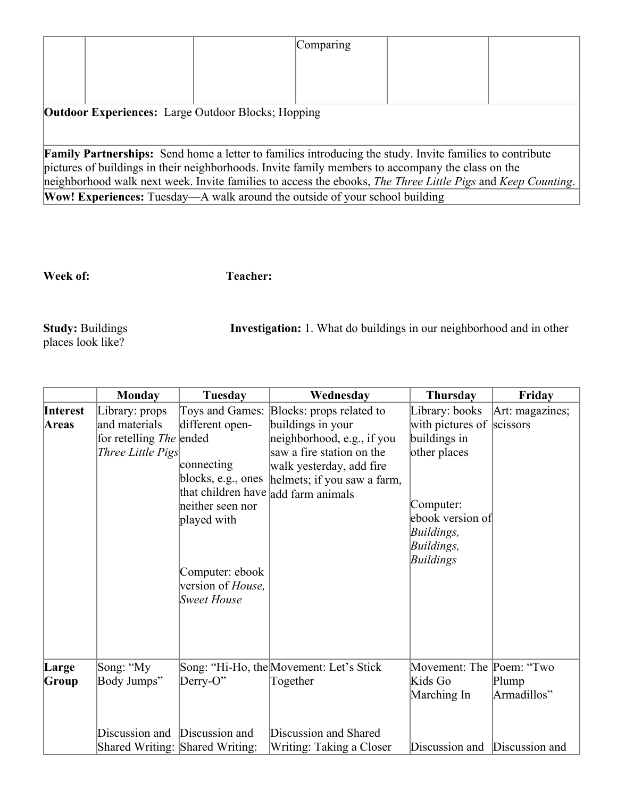|                                                                                                                 | Comparing |  |
|-----------------------------------------------------------------------------------------------------------------|-----------|--|
|                                                                                                                 |           |  |
|                                                                                                                 |           |  |
| <b>Outdoor Experiences:</b> Large Outdoor Blocks; Hopping                                                       |           |  |
|                                                                                                                 |           |  |
| <b>Family Partnerships:</b> Send home a letter to families introducing the study. Invite families to contribute |           |  |
| pictures of buildings in their neighborhoods. Invite family members to accompany the class on the               |           |  |
| neighborhood walk next week. Invite families to access the ebooks, The Three Little Pigs and Keep Counting.     |           |  |
| <b>Wow! Experiences:</b> Tuesday—A walk around the outside of your school building                              |           |  |

### **Week of: Teacher:**

Study: Buildings<br>places look like?

**Investigation:** 1. What do buildings in our neighborhood and in other

|                   | <b>Monday</b>                                                                          | Tuesday                                                                                                                                                                                                         | Wednesday                                                                                                                                                           | Thursday                                                                                                                                              | Friday               |
|-------------------|----------------------------------------------------------------------------------------|-----------------------------------------------------------------------------------------------------------------------------------------------------------------------------------------------------------------|---------------------------------------------------------------------------------------------------------------------------------------------------------------------|-------------------------------------------------------------------------------------------------------------------------------------------------------|----------------------|
| Interest<br>Areas | Library: props<br>and materials<br>for retelling <i>The</i> ended<br>Three Little Pigs | Toys and Games:<br>different open-<br>connecting<br>blocks, e.g., ones<br>that children have add farm animals<br>neither seen nor<br>played with<br>Computer: ebook<br>version of <i>House</i> ,<br>Sweet House | Blocks: props related to<br>buildings in your<br>neighborhood, e.g., if you<br>saw a fire station on the<br>walk yesterday, add fire<br>helmets; if you saw a farm, | Library: books<br>with pictures of scissors<br>buildings in<br>other places<br>Computer:<br>ebook version of<br>Buildings,<br>Buildings,<br>Buildings | Art: magazines;      |
| Large<br>Group    | Song: "My<br>Body Jumps"                                                               | $Derry-O"$                                                                                                                                                                                                      | Song: "Hi-Ho, the Movement: Let's Stick<br>Together                                                                                                                 | Movement: The Poem: "Two<br>Kids Go<br>Marching In                                                                                                    | Plump<br>Armadillos" |
|                   | Discussion and                                                                         | Discussion and<br>Shared Writing: Shared Writing:                                                                                                                                                               | Discussion and Shared<br>Writing: Taking a Closer                                                                                                                   | Discussion and Discussion and                                                                                                                         |                      |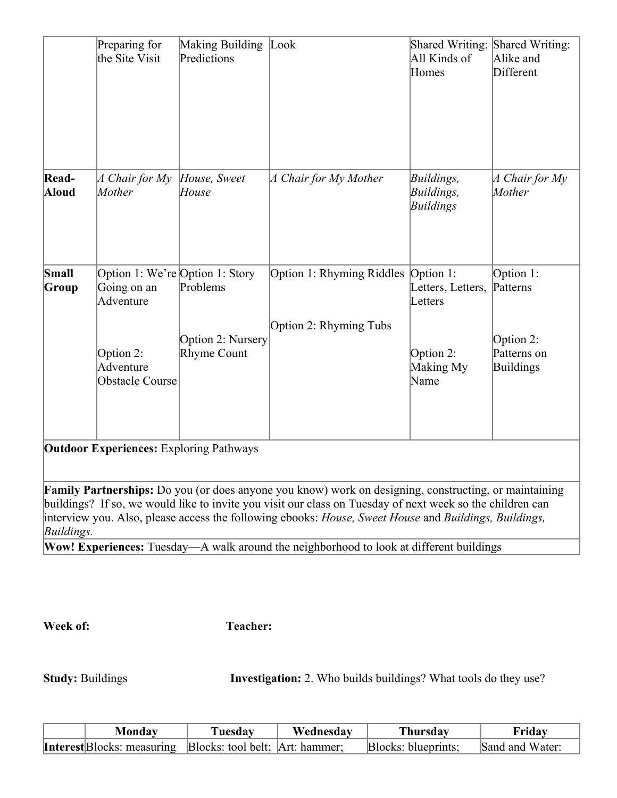|                | Preparing for<br>the Site Visit                                                                                 | Making Building<br>Predictions               | Look                                                                                                                                                                                                                                                                                                                        | Shared Writing:<br>All Kinds of<br>Homes                                    | Shared Writing:<br>Alike and<br>Different                             |
|----------------|-----------------------------------------------------------------------------------------------------------------|----------------------------------------------|-----------------------------------------------------------------------------------------------------------------------------------------------------------------------------------------------------------------------------------------------------------------------------------------------------------------------------|-----------------------------------------------------------------------------|-----------------------------------------------------------------------|
| Read-<br>Aloud | A Chair for My<br>Mother                                                                                        | House, Sweet<br>House                        | A Chair for My Mother                                                                                                                                                                                                                                                                                                       | Buildings,<br>Buildings,<br>Buildings                                       | A Chair for My<br>Mother                                              |
| Small<br>Group | Option 1: We're Option 1: Story<br>Going on an<br>Adventure<br>Option 2:<br>Adventure<br><b>Obstacle Course</b> | Problems<br>Option 2: Nursery<br>Rhyme Count | Option 1: Rhyming Riddles<br>Option 2: Rhyming Tubs                                                                                                                                                                                                                                                                         | Option 1:<br>Letters, Letters,<br>Letters<br>Option 2:<br>Making My<br>Name | Option 1:<br>Patterns<br>Option 2:<br>Patterns on<br><b>Buildings</b> |
|                | <b>Outdoor Experiences: Exploring Pathways</b>                                                                  |                                              |                                                                                                                                                                                                                                                                                                                             |                                                                             |                                                                       |
| Buildings.     |                                                                                                                 |                                              | Family Partnerships: Do you (or does anyone you know) work on designing, constructing, or maintaining<br>buildings? If so, we would like to invite you visit our class on Tuesday of next week so the children can<br>interview you. Also, please access the following ebooks: House, Sweet House and Buildings, Buildings, |                                                                             |                                                                       |

**Wow! Experiences:** Tuesday—A walk around the neighborhood to look at different buildings

**Week of:** Teacher:

**Study:** Buildings **Investigation:** 2. Who builds buildings? What tools do they use?

| Monday                                                            | Tuesday | Wednesdav | Thursdav            | Friday          |
|-------------------------------------------------------------------|---------|-----------|---------------------|-----------------|
| <b>Interest</b> Blocks: measuring Blocks: tool belt; Art: hammer; |         |           | Blocks: blueprints: | Sand and Water: |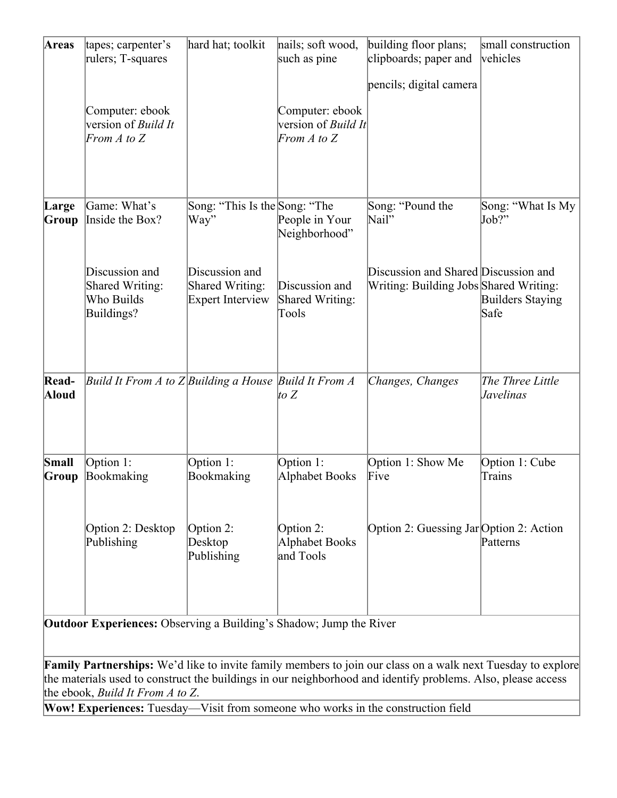| <b>Areas</b>   | tapes; carpenter's<br>rulers; T-squares                        | hard hat; toolkit                                            | nails; soft wood,<br>such as pine                                | building floor plans;<br>clipboards; paper and<br>pencils; digital camera      | small construction<br>vehicles  |
|----------------|----------------------------------------------------------------|--------------------------------------------------------------|------------------------------------------------------------------|--------------------------------------------------------------------------------|---------------------------------|
|                | Computer: ebook<br>version of <i>Build It</i><br>From A to $Z$ |                                                              | Computer: ebook<br>version of <i>Build It</i><br>From $A$ to $Z$ |                                                                                |                                 |
| Large<br>Group | Game: What's<br>Inside the Box?                                | Song: "This Is the Song: "The<br>Way"                        | People in Your<br>Neighborhood"                                  | Song: "Pound the<br>Nail"                                                      | Song: "What Is My<br>Job?"      |
|                | Discussion and<br>Shared Writing:<br>Who Builds<br>Buildings?  | Discussion and<br>Shared Writing:<br><b>Expert Interview</b> | Discussion and<br>Shared Writing:<br>Tools                       | Discussion and Shared Discussion and<br>Writing: Building Jobs Shared Writing: | <b>Builders Staying</b><br>Safe |
| Read-<br>Aloud | Build It From A to $Z$ Building a House Build It From A        |                                                              | to $Z$                                                           | Changes, Changes                                                               | The Three Little<br>Javelinas   |
| Small<br>Group | Option 1:<br>Bookmaking                                        | Option 1:<br>Bookmaking                                      | Option 1:<br>Alphabet Books                                      | Option 1: Show Me<br>Five                                                      | Option 1: Cube<br><b>Trains</b> |
|                | Option 2: Desktop<br>Publishing                                | Option 2:<br>Desktop<br>Publishing                           | Option 2:<br>Alphabet Books<br>and Tools                         | Option 2: Guessing Jar Option 2: Action                                        | Patterns                        |

**Outdoor Experiences:** Observing a Building's Shadow; Jump the River

**Family Partnerships:** We'd like to invite family members to join our class on a walk next Tuesday to explore the materials used to construct the buildings in our neighborhood and identify problems. Also, please access the ebook, *Build It From A to Z*.

**Wow! Experiences:** Tuesday—Visit from someone who works in the construction field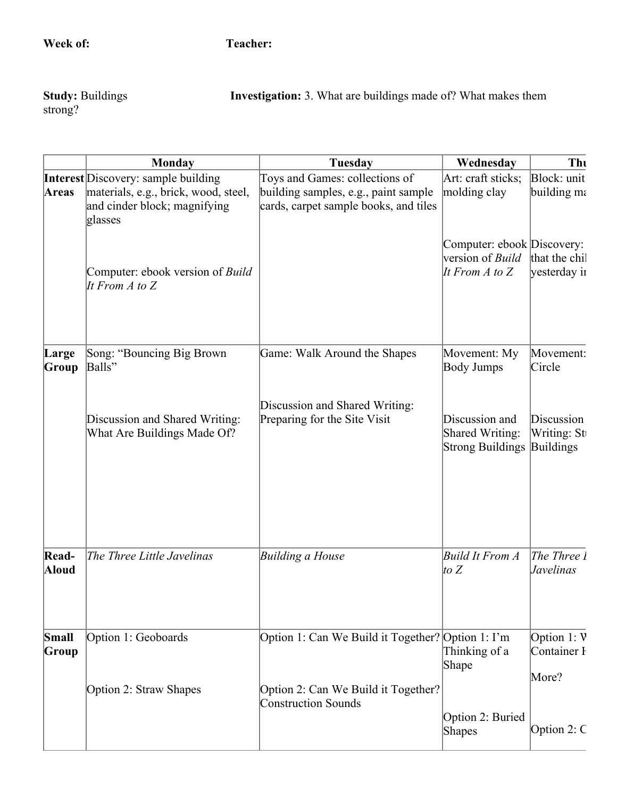Study: Buildings<br>strong?

**Investigation:** 3. What are buildings made of? What makes them

|                       | <b>Monday</b>                                                                                                                 | <b>Tuesday</b>                                                                                                  | Wednesday                                                                   | Thu                                           |
|-----------------------|-------------------------------------------------------------------------------------------------------------------------------|-----------------------------------------------------------------------------------------------------------------|-----------------------------------------------------------------------------|-----------------------------------------------|
| <b>Areas</b>          | <b>Interest</b> Discovery: sample building<br>materials, e.g., brick, wood, steel,<br>and cinder block; magnifying<br>glasses | Toys and Games: collections of<br>building samples, e.g., paint sample<br>cards, carpet sample books, and tiles | Art: craft sticks;<br>molding clay                                          | Block: unit<br>building ma                    |
|                       | Computer: ebook version of Build<br>It From $A$ to $Z$                                                                        |                                                                                                                 | Computer: ebook Discovery:<br>version of <i>Build</i><br>It From $A$ to $Z$ | that the chil<br>yesterday in                 |
| Large<br>Group        | Song: "Bouncing Big Brown<br>Balls"                                                                                           | Game: Walk Around the Shapes                                                                                    | Movement: My<br><b>Body Jumps</b>                                           | Movement:<br>Circle                           |
|                       | Discussion and Shared Writing:<br>What Are Buildings Made Of?                                                                 | Discussion and Shared Writing:<br>Preparing for the Site Visit                                                  | Discussion and<br>Shared Writing:<br><b>Strong Buildings</b>                | Discussion<br>Writing: St<br><b>Buildings</b> |
| Read-<br><b>Aloud</b> | The Three Little Javelinas                                                                                                    | Building a House                                                                                                | Build It From A<br>$\left  \text{to }Z \right $                             | The Three 1<br><i>Javelinas</i>               |
| Small<br>Group        | Option 1: Geoboards                                                                                                           | Option 1: Can We Build it Together? Option 1: I'm                                                               | Thinking of a<br>Shape                                                      | Option $1: V$<br>Container I<br>More?         |
|                       | Option 2: Straw Shapes                                                                                                        | Option 2: Can We Build it Together?<br><b>Construction Sounds</b>                                               | Option 2: Buried<br><b>Shapes</b>                                           | Option 2: $C$                                 |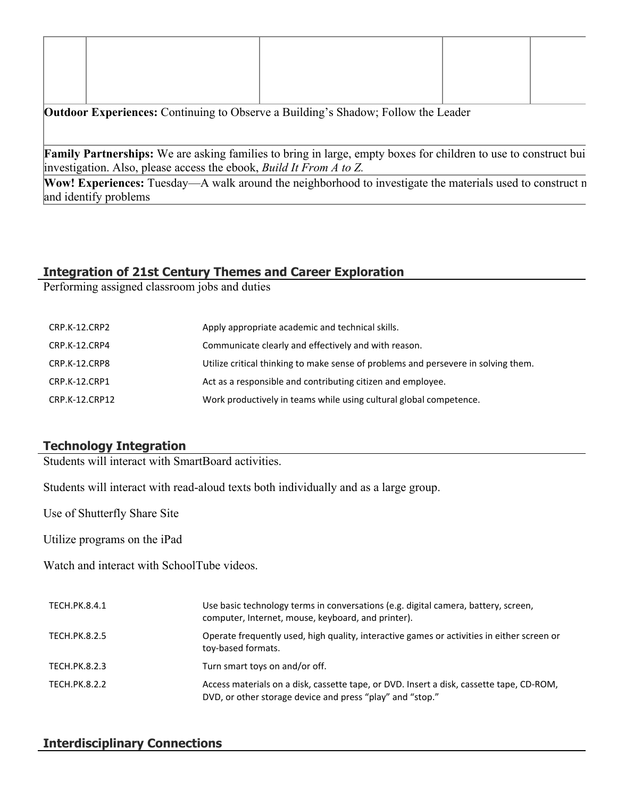**Outdoor Experiences:** Continuing to Observe a Building's Shadow; Follow the Leader

Family Partnerships: We are asking families to bring in large, empty boxes for children to use to construct bui investigation. Also, please access the ebook, *Build It From A to Z.*

**Wow! Experiences:** Tuesday—A walk around the neighborhood to investigate the materials used to construct n and identify problems

#### **Integration of 21st Century Themes and Career Exploration**

Performing assigned classroom jobs and duties

| CRP.K-12.CRP2  | Apply appropriate academic and technical skills.                                   |
|----------------|------------------------------------------------------------------------------------|
| CRP.K-12.CRP4  | Communicate clearly and effectively and with reason.                               |
| CRP.K-12.CRP8  | Utilize critical thinking to make sense of problems and persevere in solving them. |
| CRP.K-12.CRP1  | Act as a responsible and contributing citizen and employee.                        |
| CRP.K-12.CRP12 | Work productively in teams while using cultural global competence.                 |

#### **Technology Integration**

Students will interact with SmartBoard activities.

Students will interact with read-aloud texts both individually and as a large group.

Use of Shutterfly Share Site

Utilize programs on the iPad

Watch and interact with SchoolTube videos.

| TECH.PK.8.4.1        | Use basic technology terms in conversations (e.g. digital camera, battery, screen,<br>computer, Internet, mouse, keyboard, and printer).              |
|----------------------|-------------------------------------------------------------------------------------------------------------------------------------------------------|
| TECH.PK.8.2.5        | Operate frequently used, high quality, interactive games or activities in either screen or<br>toy-based formats.                                      |
| <b>TECH.PK.8.2.3</b> | Turn smart toys on and/or off.                                                                                                                        |
| TECH.PK.8.2.2        | Access materials on a disk, cassette tape, or DVD. Insert a disk, cassette tape, CD-ROM,<br>DVD, or other storage device and press "play" and "stop." |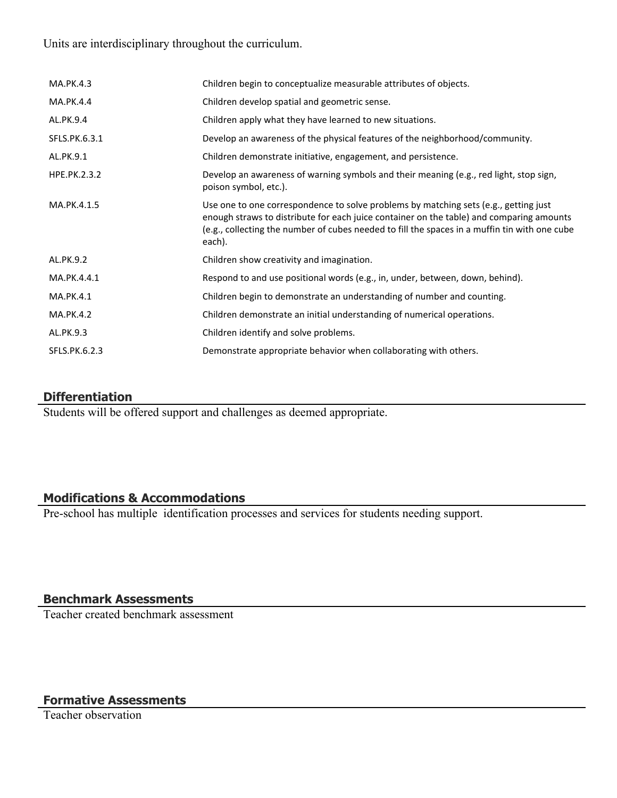Units are interdisciplinary throughout the curriculum.

| MA.PK.4.3     | Children begin to conceptualize measurable attributes of objects.                                                                                                                                                                                                                           |
|---------------|---------------------------------------------------------------------------------------------------------------------------------------------------------------------------------------------------------------------------------------------------------------------------------------------|
| MA.PK.4.4     | Children develop spatial and geometric sense.                                                                                                                                                                                                                                               |
| AL.PK.9.4     | Children apply what they have learned to new situations.                                                                                                                                                                                                                                    |
| SFLS.PK.6.3.1 | Develop an awareness of the physical features of the neighborhood/community.                                                                                                                                                                                                                |
| AL.PK.9.1     | Children demonstrate initiative, engagement, and persistence.                                                                                                                                                                                                                               |
| HPE.PK.2.3.2  | Develop an awareness of warning symbols and their meaning (e.g., red light, stop sign,<br>poison symbol, etc.).                                                                                                                                                                             |
| MA.PK.4.1.5   | Use one to one correspondence to solve problems by matching sets (e.g., getting just<br>enough straws to distribute for each juice container on the table) and comparing amounts<br>(e.g., collecting the number of cubes needed to fill the spaces in a muffin tin with one cube<br>each). |
| AL.PK.9.2     | Children show creativity and imagination.                                                                                                                                                                                                                                                   |
| MA.PK.4.4.1   | Respond to and use positional words (e.g., in, under, between, down, behind).                                                                                                                                                                                                               |
| MA.PK.4.1     | Children begin to demonstrate an understanding of number and counting.                                                                                                                                                                                                                      |
| MA.PK.4.2     | Children demonstrate an initial understanding of numerical operations.                                                                                                                                                                                                                      |
| AL.PK.9.3     | Children identify and solve problems.                                                                                                                                                                                                                                                       |
| SFLS.PK.6.2.3 | Demonstrate appropriate behavior when collaborating with others.                                                                                                                                                                                                                            |

#### **Differentiation**

Students will be offered support and challenges as deemed appropriate.

#### **Modifications & Accommodations**

Pre-school has multiple identification processes and services for students needing support.

#### **Benchmark Assessments**

Teacher created benchmark assessment

# **Formative Assessments**

Teacher observation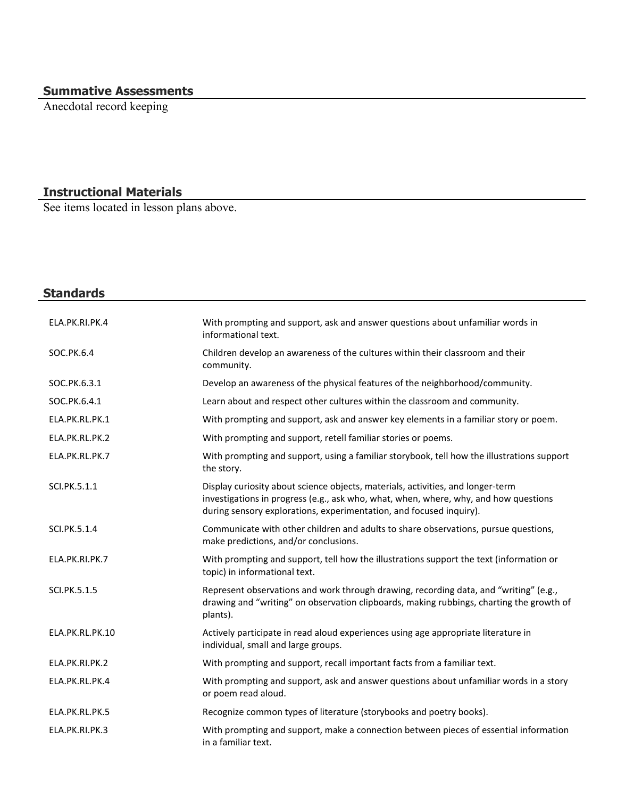#### **Summative Assessments**

Anecdotal record keeping

#### **Instructional Materials**

See items located in lesson plans above.

# **Standards** ELA.PK.RI.PK.4 With prompting and support, ask and answer questions about unfamiliar words in informational text. SOC.PK.6.4 Children develop an awareness of the cultures within their classroom and their community. SOC.PK.6.3.1 Develop an awareness of the physical features of the neighborhood/community. SOC.PK.6.4.1 **Learn about and respect other cultures within the classroom and community.** ELA.PK.RL.PK.1 With prompting and support, ask and answer key elements in a familiar story or poem. ELA.PK.RL.PK.2 With prompting and support, retell familiar stories or poems. ELA.PK.RL.PK.7 With prompting and support, using a familiar storybook, tell how the illustrations support the story. SCI.PK.5.1.1 Display curiosity about science objects, materials, activities, and longer-term investigations in progress (e.g., ask who, what, when, where, why, and how questions during sensory explorations, experimentation, and focused inquiry). SCI.PK.5.1.4 Communicate with other children and adults to share observations, pursue questions, make predictions, and/or conclusions. ELA.PK.RI.PK.7 With prompting and support, tell how the illustrations support the text (information or topic) in informational text. SCI.PK.5.1.5 Represent observations and work through drawing, recording data, and "writing" (e.g., drawing and "writing" on observation clipboards, making rubbings, charting the growth of plants). ELA.PK.RL.PK.10 Actively participate in read aloud experiences using age appropriate literature in individual, small and large groups. ELA.PK.RI.PK.2 With prompting and support, recall important facts from a familiar text. ELA.PK.RL.PK.4 With prompting and support, ask and answer questions about unfamiliar words in a story or poem read aloud. ELA.PK.RL.PK.5 Recognize common types of literature (storybooks and poetry books). ELA.PK.RI.PK.3 With prompting and support, make a connection between pieces of essential information in a familiar text.